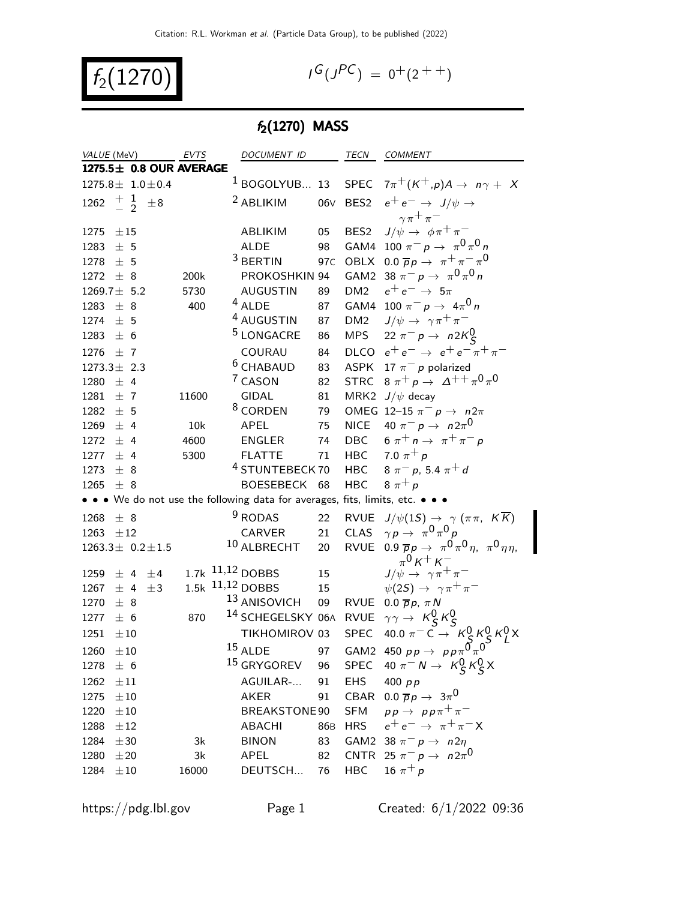$f_2(1270)$  |

$$
G(J^{PC}) = 0^+(2^{++})
$$

# $f_2(1270)$  MASS

| VALUE (MeV)              |          |         | EVTS                    | DOCUMENT ID                                                                   |                 | TECN             | COMMENT                                                                     |
|--------------------------|----------|---------|-------------------------|-------------------------------------------------------------------------------|-----------------|------------------|-----------------------------------------------------------------------------|
|                          |          |         | 1275.5± 0.8 OUR AVERAGE |                                                                               |                 |                  |                                                                             |
| $1275.8 \pm 1.0 \pm 0.4$ |          |         |                         | $1$ BOGOLYUB 13                                                               |                 | <b>SPEC</b>      | $7\pi^+$ $(K^+,p)$ $A \rightarrow n\gamma + X$                              |
| 1262 $\frac{+}{2}$       |          | $\pm 8$ |                         | <sup>2</sup> ABLIKIM                                                          |                 |                  | 06V BES2 $e^+e^- \rightarrow J/\psi \rightarrow$                            |
|                          |          |         |                         |                                                                               |                 |                  | $\gamma \pi^+ \pi^-$                                                        |
| $1275 \pm 15$            |          |         |                         | ABLIKIM                                                                       | 05              | BES <sub>2</sub> | $J/\psi \rightarrow \phi \pi^+ \pi^-$                                       |
| 1283                     | ± 5      |         |                         | <b>ALDE</b>                                                                   | 98              | GAM4             | 100 $\pi^- p \to \pi^0 \pi^0 n$                                             |
| 1278                     | ± 5      |         |                         | $3$ BERTIN                                                                    | 97c             | OBLX             | 0.0 $\overline{p}p \rightarrow \pi^+\pi^-\pi^0$                             |
| 1272 $\pm$ 8             |          |         | 200k                    | PROKOSHKIN 94                                                                 |                 |                  | GAM2 38 $\pi^- p \to \pi^0 \pi^0 n$                                         |
| $1269.7 \pm 5.2$         |          |         | 5730                    | <b>AUGUSTIN</b>                                                               | 89              | DM <sub>2</sub>  | $e^+e^- \rightarrow 5\pi$                                                   |
| 1283 $\pm$ 8             |          |         | 400                     | $4$ ALDE                                                                      | 87              |                  | GAM4 100 $\pi^- p \to 4\pi^0 n$                                             |
| 1274                     | ± 5      |         |                         | <sup>4</sup> AUGUSTIN                                                         | 87              | DM <sub>2</sub>  | $J/\psi \rightarrow \gamma \pi^+ \pi^-$                                     |
| 1283                     | ± 6      |         |                         | <sup>5</sup> LONGACRE                                                         | 86              | MPS              | 22 $\pi^- p \to n2K^0_S$                                                    |
| 1276 $\pm$ 7             |          |         |                         | COURAU                                                                        | 84              |                  | DLCO $e^+e^- \rightarrow e^+e^-\pi^+\pi^-$                                  |
| $1273.3 \pm 2.3$         |          |         |                         | $6$ CHABAUD                                                                   | 83              |                  | ASPK 17 $\pi^-$ p polarized                                                 |
| 1280 $\pm$ 4             |          |         |                         | <sup>7</sup> CASON                                                            | 82              |                  | STRC $8 \pi^+ p \rightarrow \Delta^{++} \pi^0 \pi^0$                        |
| 1281                     | ±7       |         | 11600                   | <b>GIDAL</b>                                                                  | 81              |                  | MRK2 $J/\psi$ decay                                                         |
| 1282                     | ± 5      |         |                         | <sup>8</sup> CORDEN                                                           | 79              |                  | OMEG 12-15 $\pi^ p \rightarrow n2\pi$                                       |
| 1269                     | ± 4      |         | 10k                     | APEL                                                                          | 75              |                  | NICE $40 \pi^- p \rightarrow n 2\pi^0$                                      |
| $1272 \pm 4$             |          |         | 4600                    | <b>ENGLER</b>                                                                 | 74              |                  | DBC $6 \pi^+ n \rightarrow \pi^+ \pi^- p$                                   |
| 1277                     | ± 4      |         | 5300                    | <b>FLATTE</b>                                                                 | 71              |                  | HBC 7.0 $\pi^{+} p$                                                         |
| 1273                     | ± 8      |         |                         | <sup>4</sup> STUNTEBECK 70                                                    |                 | <b>HBC</b>       | $8 \pi^{-} p$ , 5.4 $\pi^{+} d$                                             |
| 1265                     | ± 8      |         |                         | BOESEBECK 68                                                                  |                 | <b>HBC</b>       | $8 \pi^+ p$                                                                 |
|                          |          |         |                         | • • • We do not use the following data for averages, fits, limits, etc. • • • |                 |                  |                                                                             |
| 1268                     | ± 8      |         |                         | <sup>9</sup> RODAS                                                            | 22              |                  | RVUE $J/\psi(1S) \rightarrow \gamma(\pi \pi, K \overline{K})$               |
| 1263                     | $\pm 12$ |         |                         | CARVER                                                                        | 21              |                  | CLAS $\gamma p \to \pi^0 \pi^0 p$                                           |
| $1263.3 \pm 0.2 \pm 1.5$ |          |         |                         | 10 ALBRECHT                                                                   | 20              |                  | RVUE 0.9 $\overline{p}p \rightarrow \pi^0 \pi^0 \eta$ , $\pi^0 \eta \eta$ , |
|                          |          |         |                         |                                                                               |                 |                  | $\pi^{0}$ K + K –                                                           |
| 1259                     | ± 4      | ±4      |                         | $1.7k$ $11,12$ DOBBS                                                          | 15 <sub>1</sub> |                  | $J/\psi \rightarrow \gamma \pi^+ \pi^-$                                     |
| 1267                     | ± 4      | $\pm$ 3 |                         | 1.5k 11,12 DOBBS                                                              | 15              |                  | $\psi(2S) \rightarrow \gamma \pi^+ \pi^-$                                   |
| 1270                     | ± 8      |         |                         | <sup>13</sup> ANISOVICH                                                       | 09              |                  | RVUE 0.0 $\overline{p}p$ , $\pi N$                                          |
| 1277                     | ± 6      |         | 870                     | <sup>14</sup> SCHEGELSKY 06A RVUE $\gamma\gamma \rightarrow K_S^0 K_S^0$      |                 |                  |                                                                             |
| 1251                     | $\pm 10$ |         |                         | TIKHOMIROV 03                                                                 |                 | SPEC             | 40.0 $\pi^{-}$ C $\rightarrow$ $K_S^0 K_S^0 K_I^0 X$                        |
| 1260                     | $\pm 10$ |         |                         | $15$ ALDE                                                                     | 97              |                  | GAM2 450 $p p \rightarrow p p \pi^0 \pi^0$                                  |
| $1278 \pm 6$             |          |         |                         | <sup>15</sup> GRYGOREV                                                        | 96              |                  | SPEC 40 $\pi^- N \to K_S^0 K_S^0 X$                                         |
| 1262                     | $\pm 11$ |         |                         | AGUILAR-                                                                      | 91              | <b>EHS</b>       | 400 $p p$                                                                   |
| 1275                     | $\pm 10$ |         |                         | AKER                                                                          | 91              | CBAR             | $0.0 \overline{p}p \rightarrow 3\pi^0$                                      |
| 1220                     | $\pm 10$ |         |                         | BREAKSTONE90                                                                  |                 | <b>SFM</b>       | $pp \rightarrow pp\pi^{+}\pi^{-}$                                           |
| 1288                     | ±12      |         |                         | <b>ABACHI</b>                                                                 | 86B             | <b>HRS</b>       | $e^+e^- \rightarrow \pi^+\pi^-X$                                            |
| 1284                     | ±30      |         | 3k                      | <b>BINON</b>                                                                  | 83              |                  | GAM2 38 $\pi^- p \to n2\eta$                                                |
| 1280                     | $\pm 20$ |         | 3k                      | APEL                                                                          | 82              |                  | CNTR 25 $\pi^ p \to n2\pi^0$                                                |
| 1284                     | $\pm 10$ |         | 16000                   | DEUTSCH                                                                       | 76              | <b>HBC</b>       | 16 $\pi^{+} p$                                                              |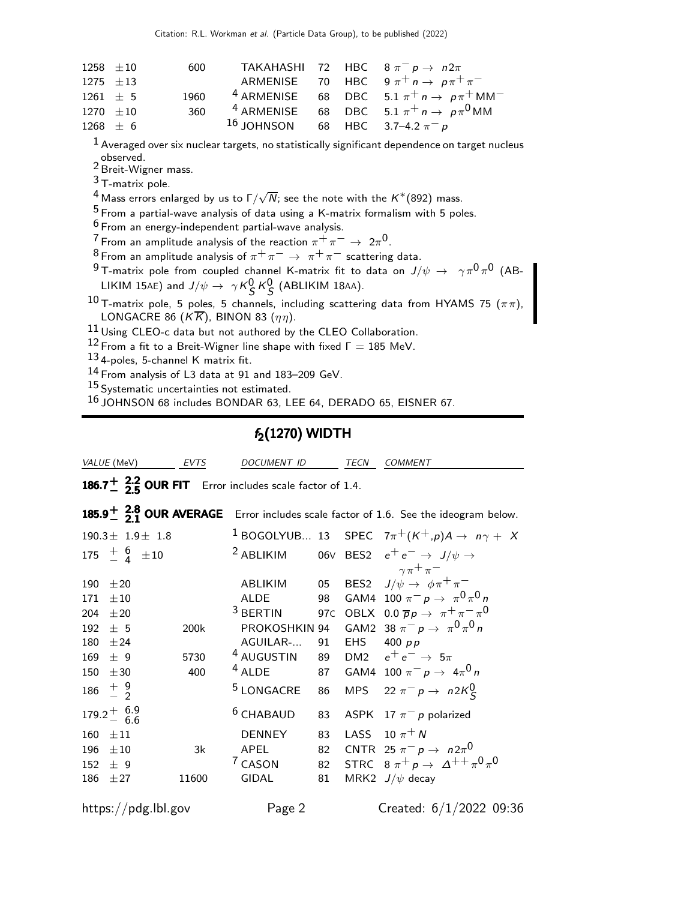|               | $1258 \pm 10$ |     | 600 TAKAHASHI 72 HBC $8 \pi^{-} p \rightarrow n 2\pi$ |  |                                                           |
|---------------|---------------|-----|-------------------------------------------------------|--|-----------------------------------------------------------|
| 1275 $\pm 13$ |               |     |                                                       |  | ARMENISE 70 HBC $9\pi^+ n \rightarrow p\pi^+ \pi^-$       |
|               | $1261 + 5$    |     |                                                       |  | 1960 $4$ ARMENISE 68 DBC 5.1 $\pi^+ n \to p \pi^+ M M^-$  |
|               | 1270 $\pm 10$ | 360 |                                                       |  | <sup>4</sup> ARMENISE 68 DBC 5.1 $\pi^+ n \to p \pi^0$ MM |
|               | $1268 \pm 6$  |     | 16 JOHNSON 68 HBC 3.7-4.2 $\pi^- p$                   |  |                                                           |
|               |               |     |                                                       |  |                                                           |

 $<sup>1</sup>$  Averaged over six nuclear targets, no statistically significant dependence on target nucleus</sup>

observed. Breit-Wigner mass.

T-matrix pole.

 $^4$  Mass errors enlarged by us to  $\Gamma/\sqrt{N}$ ; see the note with the  $K^*(892)$  mass.

From a partial-wave analysis of data using a K-matrix formalism with 5 poles.

From an energy-independent partial-wave analysis.

 $\frac{7}{2}$  From an amplitude analysis of the reaction  $\pi^+ \pi^- \to 2\pi^0$ .

8 From an amplitude analysis of  $\pi^+ \pi^- \rightarrow \pi^+ \pi^-$  scattering data.

 $^9$ T-matrix pole from coupled channel K-matrix fit to data on  $J/\psi\,\rightarrow\,\,\,\gamma\pi^0\pi^0$  (AB-LIKIM 15AE) and  $J/\psi \rightarrow \gamma K_S^0 K_S^0$  (ABLIKIM 18AA).

 $^{10}$  T-matrix pole, 5 poles, 5 channels, including scattering data from HYAMS 75 ( $\pi\pi$ ), LONGACRE 86 ( $K\overline{K}$ ), BINON 83 ( $\eta\eta$ ).

Using CLEO-c data but not authored by the CLEO Collaboration.

From a fit to a Breit-Wigner line shape with fixed  $Γ = 185$  MeV.

4-poles, 5-channel K matrix fit.

From analysis of L3 data at 91 and 183–209 GeV.

15 Systematic uncertainties not estimated.

JOHNSON 68 includes BONDAR 63, LEE 64, DERADO 65, EISNER 67.

## $f<sub>2</sub>(1270)$  WIDTH

| <i>VALUE</i> (MeV)                                                                                                         | EVTS                | DOCUMENT ID                                                                                                                     |                      | <b>TECN</b> | <b>COMMENT</b>                                                                                                                                                                                                                                                                                                                                 |
|----------------------------------------------------------------------------------------------------------------------------|---------------------|---------------------------------------------------------------------------------------------------------------------------------|----------------------|-------------|------------------------------------------------------------------------------------------------------------------------------------------------------------------------------------------------------------------------------------------------------------------------------------------------------------------------------------------------|
| 186.7 $\frac{1}{2}$ $\frac{2.2}{5}$ OUR FIT Error includes scale factor of 1.4.                                            |                     |                                                                                                                                 |                      |             |                                                                                                                                                                                                                                                                                                                                                |
|                                                                                                                            |                     |                                                                                                                                 |                      |             | 185.9 $\frac{1}{2}$ $\frac{2.8}{21}$ OUR AVERAGE Error includes scale factor of 1.6. See the ideogram below.                                                                                                                                                                                                                                   |
| $190.3 \pm 1.9 \pm 1.8$                                                                                                    |                     |                                                                                                                                 |                      |             | <sup>1</sup> BOGOLYUB 13 SPEC $7\pi^+(K^+,p)A \rightarrow n\gamma + X$                                                                                                                                                                                                                                                                         |
| 175 $\frac{+}{4}$ 6 $\pm 10$                                                                                               |                     | <sup>2</sup> ABLIKIM                                                                                                            |                      |             | 06V BES2 $e^+e^- \rightarrow J/\psi \rightarrow$                                                                                                                                                                                                                                                                                               |
| 190<br>±20<br>171<br>$\pm 10$<br>±20<br>204<br>192<br>$+5$<br>180<br>± 24<br>± 9<br>169<br>±30<br>150<br>$186 \frac{+}{2}$ | 200k<br>5730<br>400 | ABLIKIM<br><b>ALDE</b><br>$3$ BERTIN<br>PROKOSHKIN 94<br>AGUILAR-<br><sup>4</sup> AUGUSTIN<br>$4$ ALDE<br><sup>5</sup> LONGACRE | 86                   |             | $\gamma \pi^+ \pi^-$<br>05 BES2 $J/\psi \rightarrow \phi \pi^+ \pi^-$<br>98 GAM4 100 $\pi^- p \to \pi^0 \pi^0 n$<br>97C OBLX 0.0 $\overline{p}p \to \pi^+\pi^-\pi^0$<br>GAM2 38 $\pi^- p \to \pi^0 \pi^0 n$<br>91 EHS 400 pp<br>89 DM2 $e^+e^- \rightarrow 5\pi$<br>87 GAM4 100 $\pi^- p \to 4\pi^0 n$<br>MPS 22 $\pi^- p \rightarrow n2K^0_S$ |
| $179.2^{+6.9}_{-6.6}$<br>160<br>$\pm 11$<br>196<br>$\pm 10$<br>152<br>$+9$<br>186<br>$+27$                                 | 3k<br>11600         | $6$ CHABAUD<br><b>DENNEY</b><br>APEL<br><sup>7</sup> CASON<br><b>GIDAL</b>                                                      | 83<br>83<br>82<br>81 |             | ASPK 17 $\pi^-$ p polarized<br>LASS 10 $\pi$ <sup>+</sup> N<br>CNTR 25 $\pi^ p \to n 2\pi^0$<br>82 STRC $8 \pi^+ p \to \Delta^{++} \pi^0 \pi^0$<br>MRK2 $J/\psi$ decay                                                                                                                                                                         |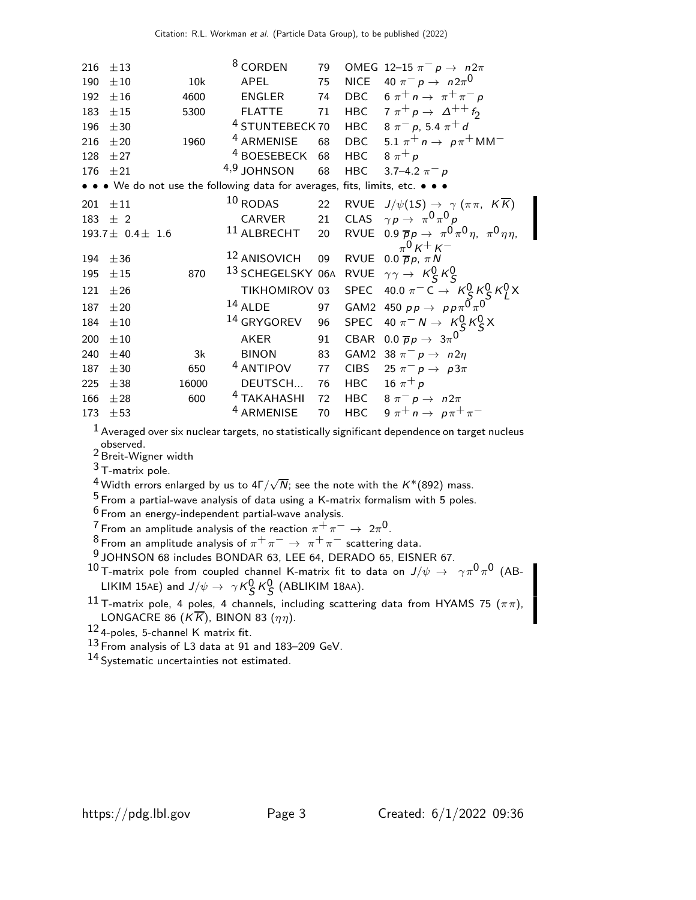| 216 | $\pm 13$                |       | <sup>8</sup> CORDEN                                                           | 79 |               | OMEG 12-15 $\pi^ p \rightarrow n2\pi$                                                                       |
|-----|-------------------------|-------|-------------------------------------------------------------------------------|----|---------------|-------------------------------------------------------------------------------------------------------------|
| 190 | ±10                     | 10k   | APEL                                                                          | 75 |               | NICE $40 \pi^- p \rightarrow n 2\pi^0$                                                                      |
| 192 | ±16                     | 4600  | ENGLER                                                                        | 74 |               | DBC $6 \pi^+ n \rightarrow \pi^+ \pi^- p$                                                                   |
| 183 | $\pm 15$                | 5300  | <b>FLATTE</b>                                                                 | 71 |               | HBC $7 \pi^+ p \rightarrow \Delta^{++} f_2$                                                                 |
| 196 | ±30                     |       | <sup>4</sup> STUNTEBECK 70                                                    |    |               | HBC $8 \pi^{-} p$ , 5.4 $\pi^{+} d$                                                                         |
| 216 | ±20                     | 1960  | <sup>4</sup> ARMENISE                                                         | 68 |               | DBC $5.1 \pi^+ n \rightarrow p \pi^+ M M^-$                                                                 |
| 128 | ±27                     |       | <sup>4</sup> BOESEBECK                                                        | 68 | HBC $8\pi^+p$ |                                                                                                             |
| 176 | ±21                     |       | 4,9 JOHNSON                                                                   | 68 | <b>HBC</b>    | 3.7–4.2 $\pi^- p$                                                                                           |
|     |                         |       | • • • We do not use the following data for averages, fits, limits, etc. • • • |    |               |                                                                                                             |
| 201 | $\pm 11$                |       | $10$ RODAS                                                                    | 22 |               | RVUE $J/\psi(1S) \rightarrow \gamma (\pi \pi, K \overline{K})$                                              |
| 183 | $\pm$ 2                 |       |                                                                               |    |               | CARVER 21 CLAS $\gamma p \to \pi^0 \pi^0 p$                                                                 |
|     | $193.7 \pm 0.4 \pm 1.6$ |       | $^{11}$ ALBRECHT                                                              | 20 |               | RVUE 0.9 $\overline{p}p \rightarrow \pi^0 \pi^0 \eta$ , $\pi^0 \eta \eta$ ,                                 |
| 194 | ±36                     |       | <sup>12</sup> ANISOVICH                                                       | 09 |               | $\pi^{0}$ K <sup>+</sup> K <sup>-</sup><br>RVUE 0.0 $\overline{p}p$ , $\pi N$                               |
| 195 | ±15                     | 870   | <sup>13</sup> SCHEGELSKY 06A                                                  |    |               | RVUE $\gamma \gamma \rightarrow K_S^0 K_S^0$                                                                |
| 121 | ±26                     |       | TIKHOMIROV 03                                                                 |    |               | SPEC 40.0 $\pi^{-}$ C $\rightarrow$ $K_S^0$ $K_S^0$ $K_L^0$ $X$<br>GAM2 450 $pp \rightarrow pp \pi^0 \pi^0$ |
| 187 | $\pm 20$                |       | $14$ ALDE                                                                     | 97 |               |                                                                                                             |
| 184 | $\pm 10$                |       | <sup>14</sup> GRYGOREV                                                        | 96 |               | SPEC 40 $\pi^- N \to K_S^0 K_S^0 X$                                                                         |
| 200 | ±10                     |       | AKER                                                                          | 91 | CBAR          | 0.0 $\overline{p}p \rightarrow 3\pi^0$                                                                      |
| 240 | ±40                     | 3k    | <b>BINON</b>                                                                  | 83 |               | GAM2 38 $\pi^ p \rightarrow n2\eta$                                                                         |
| 187 | ±30                     | 650   | <sup>4</sup> ANTIPOV                                                          | 77 |               | CIBS 25 $\pi^- p \rightarrow p3\pi$                                                                         |
| 225 | ±38                     | 16000 | DEUTSCH 76                                                                    |    |               | HBC 16 $\pi^{+} p$                                                                                          |
| 166 | ±28                     | 600   | <sup>4</sup> TAKAHASHI                                                        | 72 |               | HBC $8 \pi^- p \rightarrow n 2\pi$                                                                          |
| 173 | ±53                     |       | <sup>4</sup> ARMENISE                                                         | 70 |               | HBC $9 \pi^+ n \rightarrow p \pi^+ \pi^-$                                                                   |

 $<sup>1</sup>$  Averaged over six nuclear targets, no statistically significant dependence on target nucleus</sup>

observed. 2 Breit-Wigner width

3 T-matrix pole.

 $^4$  Width errors enlarged by us to 4Г $/\sqrt{N}$ ; see the note with the  $K^*(892)$  mass.

 $5$  From a partial-wave analysis of data using a K-matrix formalism with 5 poles.

 $6$  From an energy-independent partial-wave analysis.

 $\frac{7}{2}$  From an amplitude analysis of the reaction  $\pi^+ \pi^- \to 2\pi^0$ .

 $\frac{8}{\pi}$ From an amplitude analysis of  $\pi^+\pi^-\to\pi^+\pi^-$  scattering data.

9 JOHNSON 68 includes BONDAR 63, LEE 64, DERADO 65, EISNER 67.

 $^{10}$ T-matrix pole from coupled channel K-matrix fit to data on  $J/\psi\,\rightarrow\,\,\,\gamma\pi^0\pi^0$  (AB-LIKIM 15AE) and  $J/\psi \rightarrow \gamma K_S^0 K_S^0$  (ABLIKIM 18AA).

11 T-matrix pole, 4 poles, 4 channels, including scattering data from HYAMS 75  $(\pi \pi)$ , LONGACRE 86 ( $K\overline{K}$ ), BINON 83 ( $\eta\eta$ ).

12 4-poles, 5-channel K matrix fit.

13 From analysis of L3 data at 91 and 183–209 GeV.

14 Systematic uncertainties not estimated.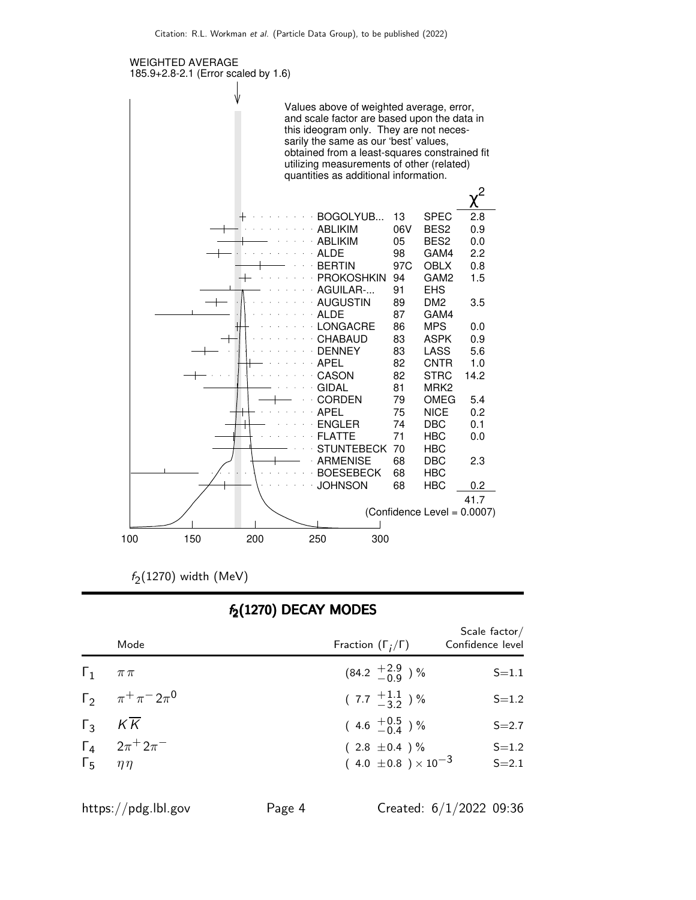

 $f_2(1270)$  width (MeV)

### $f_2(1270)$  DECAY MODES

| Mode                       |                               | Fraction $(\Gamma_i/\Gamma)$                        | Confidence level       |
|----------------------------|-------------------------------|-----------------------------------------------------|------------------------|
| $\Gamma_1$ $\pi \pi$       |                               | $(84.2 \frac{+2.9}{-0.9})$ %                        | $S = 1.1$              |
|                            | $\Gamma_2$ $\pi^+\pi^-2\pi^0$ | $(7.7 \frac{+1.1}{-3.2})$ %                         | $S = 1.2$              |
| $\Gamma_3$ $K\overline{K}$ |                               | $(4.6 \tfrac{+0.5}{0.4})\%$                         | $S = 2.7$              |
| $\Gamma_5$ $\eta\eta$      | $\Gamma_4$ $2\pi^+2\pi^-$     | $(2.8 \pm 0.4)$ %<br>$(4.0 \pm 0.8) \times 10^{-3}$ | $S = 1.2$<br>$S = 2.1$ |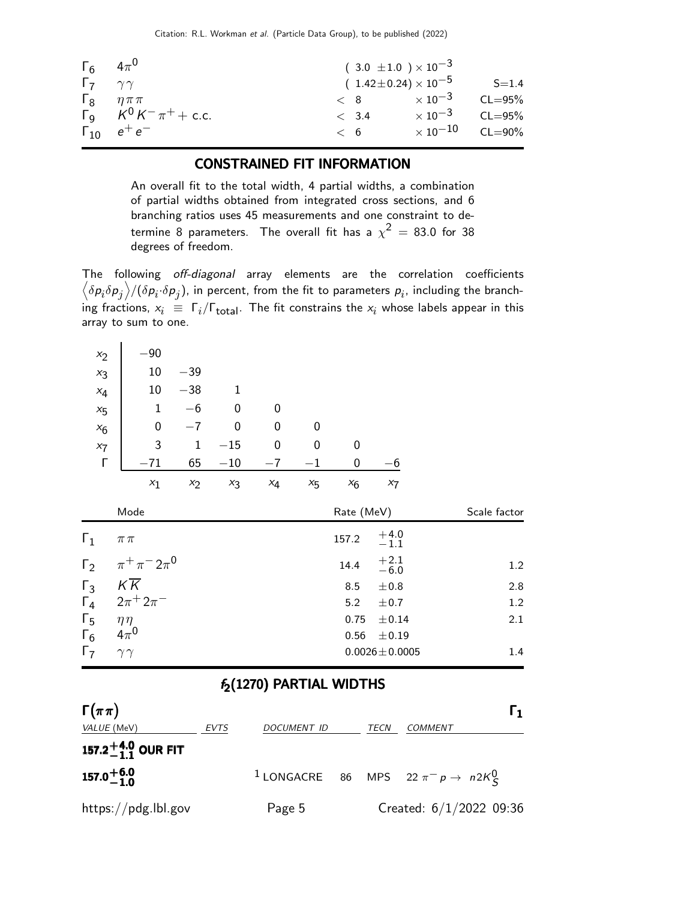|                           | $\Gamma_6$ $4\pi^0$               |       | $(3.0 \pm 1.0) \times 10^{-3}$         |                          |
|---------------------------|-----------------------------------|-------|----------------------------------------|--------------------------|
| $\Gamma_7$ $\gamma\gamma$ |                                   |       | ( $1.42 \pm 0.24$ ) $\times$ $10^{-5}$ | $S = 1.4$                |
|                           | $\Gamma_8$ $\eta \pi \pi$         |       | $< 8$ $\times 10^{-3}$ CL=95%          |                          |
|                           | $\Gamma_9$ $K^0 K^- \pi^+ +$ c.c. | < 3.4 | $\times$ 10 $^{-3}$                    | $CL = 95%$               |
|                           | $\Gamma_{10}$ $e^+e^-$            | < 6   |                                        | $\times 10^{-10}$ CL=90% |

### CONSTRAINED FIT INFORMATION

An overall fit to the total width, 4 partial widths, a combination of partial widths obtained from integrated cross sections, and 6 branching ratios uses 45 measurements and one constraint to determine 8 parameters. The overall fit has a  $\chi^2$   $=$  83.0 for 38 degrees of freedom.

The following off-diagonal array elements are the correlation coefficients  $\left<\delta p_i\delta p_j\right>$ /( $\delta p_i\cdot\delta p_j$ ), in percent, from the fit to parameters  $p_i$ , including the branching fractions,  $x_i \equiv \Gamma_i/\Gamma_{\text{total}}$ . The fit constrains the  $x_i$  whose labels appear in this array to sum to one.

| $x_2$          | $-90$                    |             |              |                  |                  |            |                  |              |
|----------------|--------------------------|-------------|--------------|------------------|------------------|------------|------------------|--------------|
| $x_3$          | 10                       | $-39$       |              |                  |                  |            |                  |              |
| $x_4$          | 10                       | $-38$       | $\mathbf{1}$ |                  |                  |            |                  |              |
| $x_{5}$        | $\mathbf 1$              | $-6$        | $\mathbf 0$  | $\mathbf 0$      |                  |            |                  |              |
| $x_6$          | $\boldsymbol{0}$         | $-7$        | $\mathbf 0$  | $\boldsymbol{0}$ | 0                |            |                  |              |
| $x_7$          | 3                        | $\mathbf 1$ | $-15$        | $\boldsymbol{0}$ | $\boldsymbol{0}$ | 0          |                  |              |
| Г              | $-71$                    | 65          | $-10$        | $-7$             | $-1$             | 0          | $-6$             |              |
|                | $x_1$                    | $x_2$       | $x_3$        | $x_4$            | $x_{5}$          | $x_6$      | $x_7$            |              |
| Mode           |                          |             |              |                  |                  |            |                  |              |
|                |                          |             |              |                  |                  | Rate (MeV) |                  | Scale factor |
| $\mathsf{r}_1$ | $\pi\,\pi$               |             |              |                  |                  | 157.2      | $^{+4.0}_{-1.1}$ |              |
| $\Gamma_2$     | $\pi^{+}\pi^{-}2\pi^{0}$ |             |              |                  |                  | 14.4       | $+2.1$<br>$-6.0$ | 1.2          |
| $\Gamma_3$     | $K\overline{K}$          |             |              |                  |                  | 8.5        | ±0.8             | 2.8          |
| $\Gamma_4$     | $2\pi^{+}2\pi^{-}$       |             |              |                  |                  | 5.2        | ± 0.7            | $1.2\,$      |
| $\Gamma_5$     | $\eta\eta$               |             |              |                  |                  | 0.75       | $\pm 0.14$       | $2.1\,$      |
| $\Gamma_6$     | $4\pi^0$                 |             |              |                  |                  | 0.56       | $\pm$ 0.19       |              |

## $f_2(1270)$  PARTIAL WIDTHS

| $\Gamma(\pi\pi)$               |      |             |      |                                                                | I 1. |
|--------------------------------|------|-------------|------|----------------------------------------------------------------|------|
| VALUE (MeV)                    | EVTS | DOCUMENT ID | TECN | COMMENT                                                        |      |
| 157.2 $^{+4.0}_{-1.1}$ OUR FIT |      |             |      |                                                                |      |
| $157.0^{+6.0}_{-1.0}$          |      |             |      | <sup>1</sup> LONGACRE 86 MPS 22 $\pi^- p \rightarrow n 2K_S^0$ |      |
| https://pdg.lbl.gov            |      | Page 5      |      | Created: $6/1/2022$ 09:36                                      |      |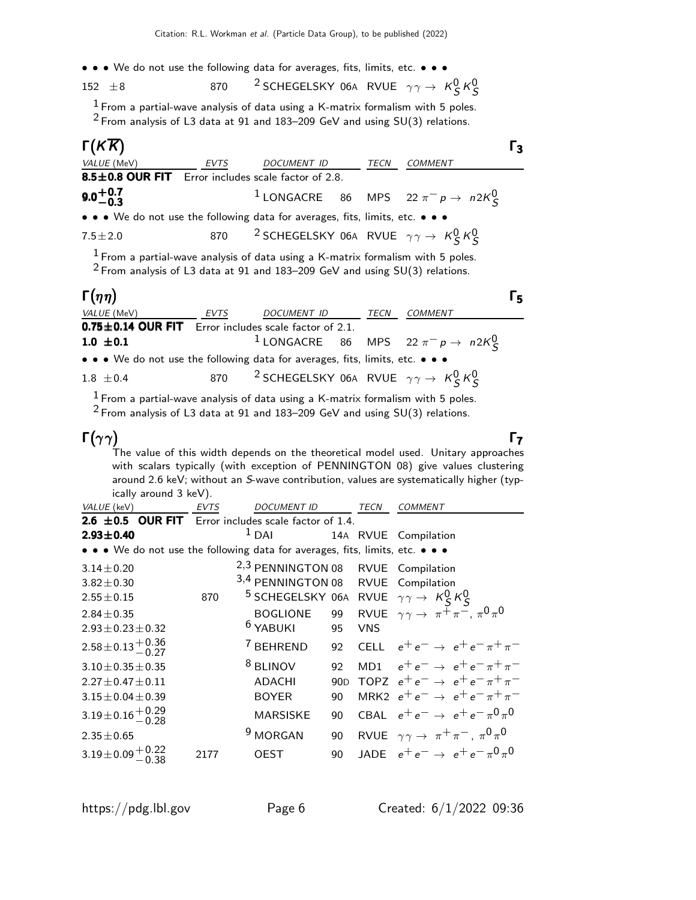• • • We do not use the following data for averages, fits, limits, etc. • • •

152  $\pm$ 8 870 <sup>2</sup> SCHEGELSKY 06A RVUE  $\gamma \gamma \rightarrow K_S^0 K_S^0$ 

 $1$  From a partial-wave analysis of data using a K-matrix formalism with 5 poles.  $2$  From analysis of L3 data at 91 and 183–209 GeV and using SU(3) relations.

| $\Gamma(K\overline{K})$                                                       |             |                                                                              |      |                                                        | Г3 |
|-------------------------------------------------------------------------------|-------------|------------------------------------------------------------------------------|------|--------------------------------------------------------|----|
| VALUE (MeV)                                                                   | <i>EVTS</i> | <b>DOCUMENT ID</b>                                                           | TECN | <b>COMMENT</b>                                         |    |
| 8.5±0.8 OUR FIT Error includes scale factor of 2.8.                           |             |                                                                              |      |                                                        |    |
| $9.0 + 0.7$<br>$-0.3$                                                         |             |                                                                              |      | <sup>1</sup> LONGACRE 86 MPS 22 $\pi^- p \to n 2K^0_S$ |    |
| • • • We do not use the following data for averages, fits, limits, etc. • • • |             |                                                                              |      |                                                        |    |
| $7.5 \pm 2.0$                                                                 |             | 870 <sup>2</sup> SCHEGELSKY 06A RVUE $\gamma \gamma \rightarrow K_S^0 K_S^0$ |      |                                                        |    |

 $1$  From a partial-wave analysis of data using a K-matrix formalism with 5 poles.  $2$  From analysis of L3 data at 91 and 183–209 GeV and using SU(3) relations.

#### $Γ(\eta\eta)$ Γ $(ηη)$

| $\Gamma(\eta\eta)$ |                                                                               |      |                                                                              |      |                                                                | Г, |
|--------------------|-------------------------------------------------------------------------------|------|------------------------------------------------------------------------------|------|----------------------------------------------------------------|----|
| VALUE (MeV)        |                                                                               | EVTS | <i>DOCUMENT ID</i>                                                           | TECN | <b>COMMENT</b>                                                 |    |
|                    | $0.75 \pm 0.14$ OUR FIT Error includes scale factor of 2.1.                   |      |                                                                              |      |                                                                |    |
| 1.0 $\pm$ 0.1      |                                                                               |      |                                                                              |      | <sup>1</sup> LONGACRE 86 MPS 22 $\pi^- p \rightarrow n 2K_S^0$ |    |
|                    | • • • We do not use the following data for averages, fits, limits, etc. • • • |      |                                                                              |      |                                                                |    |
| $1.8 \pm 0.4$      |                                                                               |      | 870 <sup>2</sup> SCHEGELSKY 06A RVUE $\gamma \gamma \rightarrow K_S^0 K_S^0$ |      |                                                                |    |

 $1$  From a partial-wave analysis of data using a K-matrix formalism with 5 poles.

 $2$  From analysis of L3 data at 91 and 183–209 GeV and using SU(3) relations.

## Γ $(\gamma \gamma)$

Γ

Γ $(γγ)$  Γ $_7$ The value of this width depends on the theoretical model used. Unitary approaches with scalars typically (with exception of PENNINGTON 08) give values clustering around 2.6 keV; without an S-wave contribution, values are systematically higher (typically around 3 keV).

| VALUE (keV)                                                                   | <b>EVTS</b> | <b>DOCUMENT ID</b>                                                       |     | <b>TECN</b> | <b>COMMENT</b>                                                    |
|-------------------------------------------------------------------------------|-------------|--------------------------------------------------------------------------|-----|-------------|-------------------------------------------------------------------|
| <b>2.6 <math>\pm</math>0.5 OUR FIT</b> Error includes scale factor of 1.4.    |             |                                                                          |     |             |                                                                   |
| $2.93 \pm 0.40$                                                               |             | $1$ DAI                                                                  |     |             | 14A RVUE Compilation                                              |
| • • • We do not use the following data for averages, fits, limits, etc. • • • |             |                                                                          |     |             |                                                                   |
| $3.14 \pm 0.20$                                                               |             | 2,3 PENNINGTON 08 RVUE Compilation                                       |     |             |                                                                   |
| $3.82 \pm 0.30$                                                               |             | 3,4 PENNINGTON 08 RVUE Compilation                                       |     |             |                                                                   |
| $2.55 \pm 0.15$                                                               | 870         | <sup>5</sup> SCHEGELSKY 06A RVUE $\gamma \gamma \rightarrow K_S^0 K_S^0$ |     |             |                                                                   |
| $2.84 \pm 0.35$                                                               |             | <b>BOGLIONE</b>                                                          | 99  |             | RVUE $\gamma \gamma \rightarrow \pi^{\pm} \pi^{\pm}, \pi^0 \pi^0$ |
| $2.93 \pm 0.23 \pm 0.32$                                                      |             | <sup>6</sup> YABUKI                                                      | 95  | <b>VNS</b>  |                                                                   |
| $2.58 \pm 0.13 \frac{+0.36}{-0.27}$                                           |             | <sup>7</sup> BEHREND                                                     | 92  |             | CELL $e^+e^- \rightarrow e^+e^- \pi^+\pi^-$                       |
| $3.10 \pm 0.35 \pm 0.35$                                                      |             | <sup>8</sup> BLINOV                                                      | 92  |             | MD1 $e^+e^- \rightarrow e^+e^- \pi^+\pi^-$                        |
| $2.27 \pm 0.47 \pm 0.11$                                                      |             | <b>ADACHI</b>                                                            | 90D |             | TOPZ $e^+e^- \rightarrow e^+e^- \pi^+\pi^-$                       |
| $3.15 \pm 0.04 \pm 0.39$                                                      |             | <b>BOYER</b>                                                             | 90  |             | MRK2 $e^+e^- \rightarrow e^+e^- \pi^+\pi^-$                       |
| $3.19\pm0.16\frac{+0.29}{-0.28}$                                              |             | <b>MARSISKE</b>                                                          | 90  |             | CBAL $e^+e^- \rightarrow e^+e^- \pi^0 \pi^0$                      |
| $2.35 \pm 0.65$                                                               |             | <sup>9</sup> MORGAN                                                      | 90  |             | RVUE $\gamma \gamma \rightarrow \pi^+ \pi^-$ , $\pi^0 \pi^0$      |
| $3.19\pm0.09^{+0.22}_{-0.38}$                                                 | 2177        | <b>OEST</b>                                                              | 90  |             | JADE $e^+e^- \rightarrow e^+e^- \pi^0 \pi^0$                      |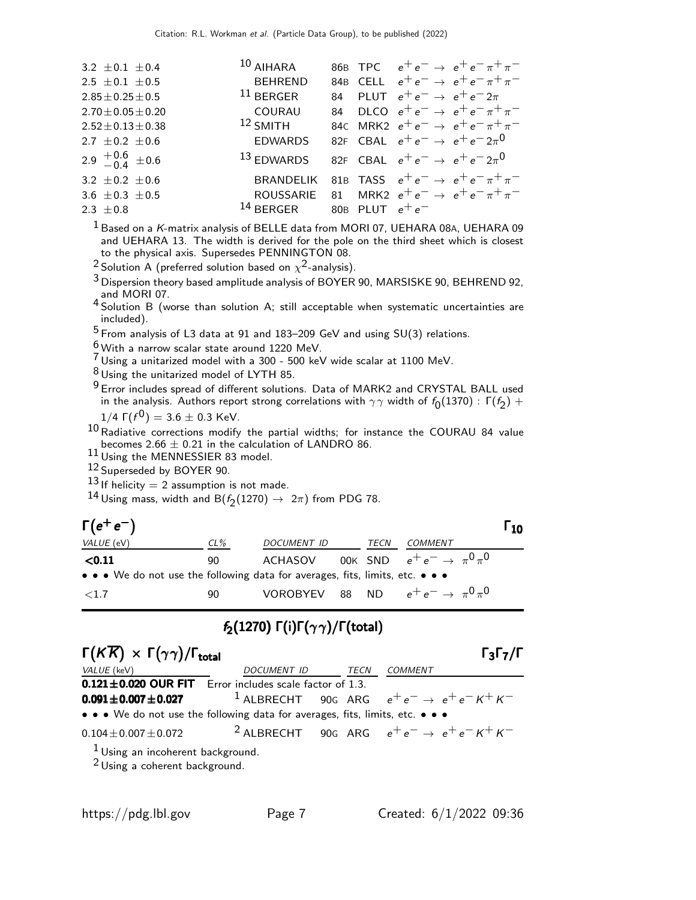| 3.2 $\pm$ 0.1 $\pm$ 0.4   | $10$ AIHARA                                              |  | 86B TPC $e^+e^- \rightarrow e^+e^- \pi^+\pi^-$  |  |
|---------------------------|----------------------------------------------------------|--|-------------------------------------------------|--|
| 2.5 $\pm$ 0.1 $\pm$ 0.5   | <b>BEHREND</b>                                           |  | 84B CELL $e^+e^- \rightarrow e^+e^- \pi^+\pi^-$ |  |
| $2.85 \pm 0.25 \pm 0.5$   | $11$ BERGER                                              |  | 84 PLUT $e^+e^- \rightarrow e^+e^-2\pi$         |  |
| $2.70 \pm 0.05 \pm 0.20$  | COURAU                                                   |  | 84 DLCO $e^+e^- \rightarrow e^+e^- \pi^+\pi^-$  |  |
| $2.52 \pm 0.13 \pm 0.38$  | $12$ SMITH                                               |  | 84C MRK2 $e^+e^- \rightarrow e^+e^- \pi^+\pi^-$ |  |
| 2.7 $\pm$ 0.2 $\pm$ 0.6   | <b>EDWARDS</b>                                           |  | 82F CBAL $e^+e^- \rightarrow e^+e^-2\pi^0$      |  |
| 2.9 $^{+0.6}_{-0.4}$ ±0.6 | <sup>13</sup> EDWARDS                                    |  | 82F CBAL $e^+e^- \rightarrow e^+e^-2\pi^0$      |  |
| 3.2 $\pm$ 0.2 $\pm$ 0.6   | <b>BRANDELIK</b>                                         |  | 81B TASS $e^+e^- \rightarrow e^+e^- \pi^+\pi^-$ |  |
| 3.6 $\pm$ 0.3 $\pm$ 0.5   | ROUSSARIE 81 MRK2 $e^+e^- \rightarrow e^+e^- \pi^+\pi^-$ |  |                                                 |  |
| 2.3 $\pm$ 0.8             | <sup>14</sup> BERGER 80B PLUT $e^+e^-$                   |  |                                                 |  |

1 Based on a K-matrix analysis of BELLE data from MORI 07, UEHARA 08A, UEHARA 09 and UEHARA 13. The width is derived for the pole on the third sheet which is closest to the physical axis. Supersedes PENNINGTON 08.

 $^2$ Solution A (preferred solution based on  $\chi^2$ -analysis).

3 Dispersion theory based amplitude analysis of BOYER 90, MARSISKE 90, BEHREND 92, and MORI 07.

4 Solution B (worse than solution A; still acceptable when systematic uncertainties are included).

 $5$  From analysis of L3 data at 91 and 183–209 GeV and using SU(3) relations.

 $\frac{6}{7}$  With a narrow scalar state around 1220 MeV.

 $7$  Using a unitarized model with a 300 - 500 keV wide scalar at 1100 MeV.

 $8$  Using the unitarized model of LYTH 85.

 $^9$  Error includes spread of different solutions. Data of MARK2 and CRYSTAL BALL used in the analysis. Authors report strong correlations with  $\gamma\gamma$  width of  $f_0(1370)$  :  $\Gamma(f_2)$  +

 $1/4 \, \Gamma(f^{\text{O}}) = 3.6 \pm 0.3 \text{ KeV}.$ 

 $^{10}$ Radiative corrections modify the partial widths; for instance the COURAU 84 value becomes 2.66  $\pm$  0.21 in the calculation of LANDRO 86.<br><sup>11</sup> Using the MENNESSIER 83 model.

12 Superseded by BOYER 90.

 $13$  If helicity = 2 assumption is not made.

 $^{14}$  Using mass, width and B $(f_2(1270) \rightarrow\ 2\pi)$  from PDG 78.

| $\Gamma(e^+e^-)$                                                              |        |             |      |                                          | Г10 |
|-------------------------------------------------------------------------------|--------|-------------|------|------------------------------------------|-----|
| VALUE (eV)                                                                    | $CL\%$ | DOCUMENT ID | TECN | COMMENT                                  |     |
| < 0.11                                                                        | 90.    | ACHASOV     |      | 00K SND $e^+e^- \rightarrow \pi^0 \pi^0$ |     |
| • • • We do not use the following data for averages, fits, limits, etc. • • • |        |             |      |                                          |     |
| <1.7                                                                          | 90     | VOROBYEV 88 |      | ND $e^+e^- \rightarrow \pi^0 \pi^0$      |     |

# $f_2(1270)$  Γ(i)Γ( $\gamma\gamma$ )/Γ(total)

| $\Gamma(K\overline{K}) \times \Gamma(\gamma\gamma)/\Gamma_{\text{total}}$                  |             |      |         |  |  |  |  |  |  |
|--------------------------------------------------------------------------------------------|-------------|------|---------|--|--|--|--|--|--|
| VALUE (keV)                                                                                | DOCUMENT ID | TECN | COMMENT |  |  |  |  |  |  |
| $0.121 \pm 0.020$ OUR FIT Error includes scale factor of 1.3.                              |             |      |         |  |  |  |  |  |  |
| <b>0.091±0.007±0.027</b> <sup>1</sup> ALBRECHT 90G ARG $e^+e^- \rightarrow e^+e^- K^+ K^-$ |             |      |         |  |  |  |  |  |  |
| • • • We do not use the following data for averages, fits, limits, etc. • • •              |             |      |         |  |  |  |  |  |  |
| $0.104 \pm 0.007 \pm 0.072$ 2 ALBRECHT 90G ARG $e^+e^- \rightarrow e^+e^- K^+ K^-$         |             |      |         |  |  |  |  |  |  |
| $1$ Using an incoherent background.<br>$2$ Using a coherent background.                    |             |      |         |  |  |  |  |  |  |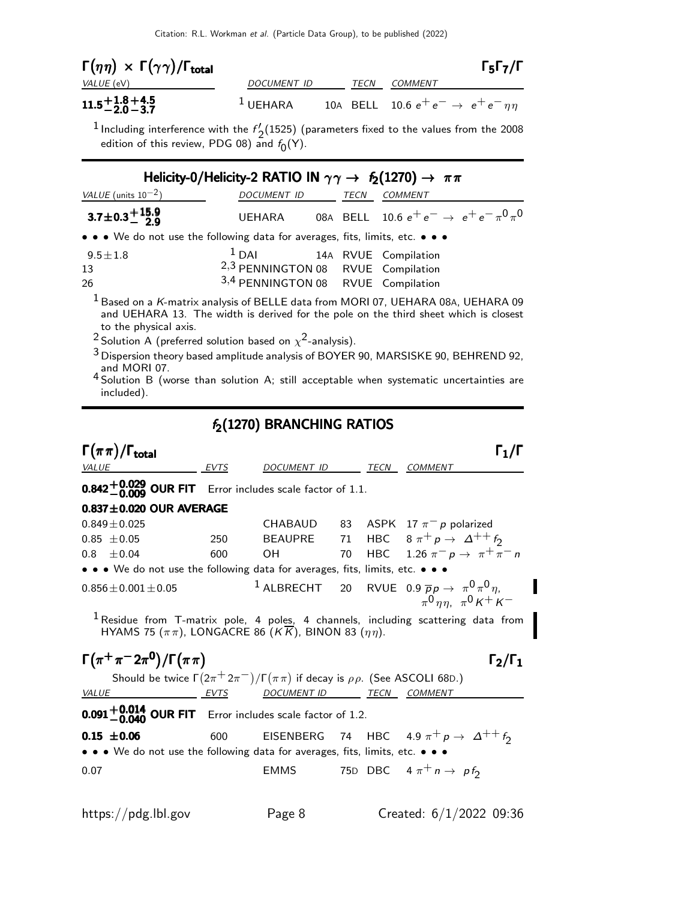| $\Gamma(\eta\eta) \, \times \, \Gamma(\gamma\gamma)/\Gamma_{\rm total}$ |             |      |                                                   | $\Gamma_5 \Gamma_7 / \Gamma$ |
|-------------------------------------------------------------------------|-------------|------|---------------------------------------------------|------------------------------|
| VALUE (eV)                                                              | DOCUMENT ID | TECN | COMMENT                                           |                              |
| $11.5 + 1.8 + 4.5$<br>$-2.0 - 3.7$                                      | $1$ UEHARA  |      | 10A BELL 10.6 $e^+e^- \rightarrow e^+e^-\eta\eta$ |                              |

<sup>1</sup> Including interference with the  $f'_{2}(1525)$  (parameters fixed to the values from the 2008 edition of this review, PDG 08) and  $f_0(\sf{Y})$ .

|                                                                               | Helicity-0/Helicity-2 RATIO IN $\gamma\gamma \to f_2(1270) \to \pi\pi$                                            |      |                                                                                                                                                                                     |
|-------------------------------------------------------------------------------|-------------------------------------------------------------------------------------------------------------------|------|-------------------------------------------------------------------------------------------------------------------------------------------------------------------------------------|
| VALUE (units $10^{-2}$ )                                                      | DOCUMENT ID                                                                                                       | TECN | <b>COMMENT</b>                                                                                                                                                                      |
| 3.7 $\pm$ 0.3 $^{+15.9}_{-2.9}$                                               | UEHARA                                                                                                            |      | 08A BELL 10.6 $e^+ \, e^- \rightarrow \, e^+ \, e^- \, \pi^0 \, \pi^0$                                                                                                              |
| • • • We do not use the following data for averages, fits, limits, etc. • • • |                                                                                                                   |      |                                                                                                                                                                                     |
| $9.5 \pm 1.8$<br>13<br>26                                                     | <sup>1</sup> DAI 14A RVUE Compilation<br>2,3 PENNINGTON 08 RVUE Compilation<br>3,4 PENNINGTON 08 RVUE Compilation |      |                                                                                                                                                                                     |
|                                                                               |                                                                                                                   |      | <sup>1</sup> Based on a K-matrix analysis of BELLE data from MORI 07, UEHARA 08A, UEHARA 09<br>and UEHARA 13. The width is derived for the pole on the third sheet which is closest |

width is derived for the pole on the third sheet which to the physical axis.

<sup>2</sup> Solution A (preferred solution based on  $\chi^2$ -analysis).

 $3$  Dispersion theory based amplitude analysis of BOYER 90, MARSISKE 90, BEHREND 92, and MORI 07.

<sup>4</sup> Solution B (worse than solution A; still acceptable when systematic uncertainties are included).

### $f_2(1270)$  BRANCHING RATIOS

 $\Gamma(\pi\pi)/\Gamma_{\text{total}}$  Γ<sub>1</sub>/Γ /Γ $_{\rm total}$ Γ VALUE EVTS DOCUMENT ID TECN COMMENT  $0.842^{+0.029}_{-0.009}$  OUR FIT  $\,$  Error includes scale factor of 1.1.  $0.837\pm0.020$  OUR AVERAGE  $0.849\pm0.025$  CHABAUD 83 ASPK 17  $\pi^-$  p polarized<br>  $0.85\pm0.05$  250 BEAUPRE 71 HBC  $8\pi^+$  p  $\rightarrow$   $\Delta^{++}$ 0.85 ±0.05 250 BEAUPRE 71 HBC  $8 \pi^+ p \to \Delta^{++} f_2$ <br>0.8 ±0.04 600 OH 70 HBC 1.26  $\pi^- p \to \pi^+ \pi$  $1.26 \pi^- p \rightarrow \pi^+ \pi^- n$ • • • We do not use the following data for averages, fits, limits, etc. • • •  $0.856 \pm 0.001 \pm 0.05$  1 ALBRECHT 20 RVUE  $0.9 \overline{p}p \rightarrow \pi^0 \pi^0 \eta$ , I  $\pi^0 \eta \eta$ ,  $\pi^0 \kappa^+ \kappa^ <sup>1</sup>$  Residue from T-matrix pole, 4 poles, 4 channels, including scattering data from</sup> HYAMS 75  $(\pi \pi)$ , LONGACRE 86  $(K\overline{K})$ , BINON 83  $(\eta \eta)$ .  $\Gamma(\pi^+\pi^-2\pi^0)/\Gamma(\pi\pi)$   $\Gamma_2/\Gamma_1$ Should be twice  $\Gamma(2\pi^+2\pi^-)/\Gamma(\pi\pi)$  if decay is  $\rho\rho$ . (See ASCOLI 68D.) VALUE EVTS DOCUMENT ID TECN COMMENT  $0.091^{+0.014}_{-0.040}$  OUR FIT **OUR FIT** Error includes scale factor of 1.2. **0.15 ±0.06** 600 EISENBERG 74 HBC 4.9  $\pi^+ p \to \Delta^{++} f_2$ • • • We do not use the following data for averages, fits, limits, etc. 0.07 **EMMS** 75D DBC  $4 \pi^+ n \rightarrow p f_2$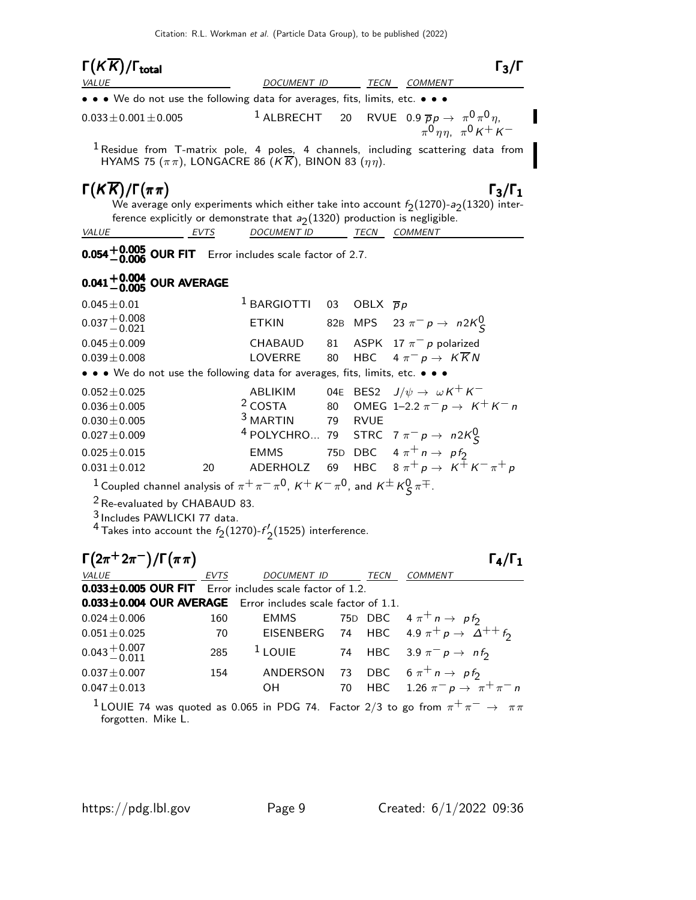| $\Gamma(K\overline{K})/\Gamma_{\rm total}$                                    |             |                                                                                                            |    |         | $\Gamma_3/\Gamma$                                                                                                                     |
|-------------------------------------------------------------------------------|-------------|------------------------------------------------------------------------------------------------------------|----|---------|---------------------------------------------------------------------------------------------------------------------------------------|
| <b>VALUE</b>                                                                  |             | DOCUMENT ID                                                                                                |    |         | TECN COMMENT                                                                                                                          |
| • • • We do not use the following data for averages, fits, limits, etc. • • • |             |                                                                                                            |    |         |                                                                                                                                       |
| $0.033 \pm 0.001 \pm 0.005$                                                   |             |                                                                                                            |    |         | <sup>1</sup> ALBRECHT 20 RVUE 0.9 $\overline{p}p \rightarrow \pi^0 \pi^0 \eta$ ,<br>$\pi^0$ nn. $\pi^0$ K <sup>+</sup> K <sup>-</sup> |
|                                                                               |             | HYAMS 75 ( $\pi\pi$ ), LONGACRE 86 (K $\overline{K}$ ), BINON 83 ( $\eta\eta$ ).                           |    |         | <sup>1</sup> Residue from T-matrix pole, 4 poles, 4 channels, including scattering data from                                          |
| $\Gamma(K\overline{K})/\Gamma(\pi\pi)$                                        |             |                                                                                                            |    |         | $\Gamma_3/\Gamma_1$<br>We average only experiments which either take into account $f_2(1270)$ - $a_2(1320)$ inter-                    |
|                                                                               |             | ference explicitly or demonstrate that $a_2(1320)$ production is negligible.                               |    |         |                                                                                                                                       |
| <b>EVTS</b><br>VALUE                                                          |             | DOCUMENT ID TECN COMMENT                                                                                   |    |         |                                                                                                                                       |
| <b>0.054 + 0.005 OUR FIT</b> Error includes scale factor of 2.7.              |             |                                                                                                            |    |         |                                                                                                                                       |
| $0.041^{+0.004}_{-0.005}$ OUR AVERAGE                                         |             |                                                                                                            |    |         |                                                                                                                                       |
| $0.045 \pm 0.01$                                                              |             | <sup>1</sup> BARGIOTTI 03 OBLX $\overline{p}p$                                                             |    |         |                                                                                                                                       |
| $0.037 + 0.008$<br>$- 0.021$                                                  |             | <b>ETKIN</b>                                                                                               |    |         | 82B MPS 23 $\pi^- p \to n 2K^0_S$                                                                                                     |
| $0.045 \pm 0.009$                                                             |             | CHABAUD                                                                                                    | 81 |         | ASPK 17 $\pi^-$ p polarized                                                                                                           |
| $0.039 \pm 0.008$                                                             |             | <b>LOVERRE</b>                                                                                             | 80 |         | HBC $4 \pi^- p \rightarrow K \overline{K} N$                                                                                          |
| • • • We do not use the following data for averages, fits, limits, etc. • • • |             |                                                                                                            |    |         |                                                                                                                                       |
| $0.052 \pm 0.025$                                                             |             |                                                                                                            |    |         | ABLIKIM 04E BES2 $J/\psi \rightarrow \omega K^+ K^-$                                                                                  |
| $0.036 \pm 0.005$                                                             |             | $2$ COSTA 80                                                                                               |    |         | OMEG 1-2.2 $\pi^- p \to K^+ K^- n$                                                                                                    |
| $0.030 \pm 0.005$                                                             |             | <sup>3</sup> MARTIN                                                                                        |    | 79 RVUE |                                                                                                                                       |
| $0.027 \pm 0.009$                                                             |             |                                                                                                            |    |         | <sup>4</sup> POLYCHRO 79 STRC 7 $\pi^- p \to n2K^0_S$                                                                                 |
| $0.025 \pm 0.015$                                                             |             |                                                                                                            |    |         | EMMS 75D DBC $4 \pi^+ n \rightarrow p f_2$                                                                                            |
| $0.031 \pm 0.012$                                                             | 20          | ADERHOLZ 69                                                                                                |    |         | HBC $8 \pi^+ p \rightarrow K^+ K^- \pi^+ p$                                                                                           |
|                                                                               |             | <sup>1</sup> Coupled channel analysis of $\pi^+\pi^-\pi^0$ , $K^+K^-\pi^0$ , and $K^{\pm}K^0_S\pi^{\mp}$ . |    |         |                                                                                                                                       |
| <sup>2</sup> Re-evaluated by CHABAUD 83.                                      |             |                                                                                                            |    |         |                                                                                                                                       |
| <sup>3</sup> Includes PAWLICKI 77 data.                                       |             |                                                                                                            |    |         |                                                                                                                                       |
|                                                                               |             | <sup>4</sup> Takes into account the $f_2(1270)$ - $f'_2(1525)$ interference.                               |    |         |                                                                                                                                       |
| $\Gamma(2\pi^+2\pi^-)/\Gamma(\pi\pi)$                                         |             |                                                                                                            |    |         | $\Gamma_4/\Gamma_1$                                                                                                                   |
| VALUE                                                                         | <u>EVTS</u> |                                                                                                            |    |         | DOCUMENT ID TECN COMMENT                                                                                                              |
| $0.033 \pm 0.005$ OUR FIT<br>$0.033 \pm 0.004$ OUR AVERAGE                    |             | Error includes scale factor of 1.2.                                                                        |    |         |                                                                                                                                       |
| $0.024 \pm 0.006$                                                             | 160         | Error includes scale factor of 1.1.<br><b>EMMS</b>                                                         |    | 75D DBC | $4 \pi^+ n \rightarrow p f_2$                                                                                                         |
| $0.051 \pm 0.025$                                                             | 70          | <b>EISENBERG</b>                                                                                           | 74 |         | HBC 4.9 $\pi^+ p \rightarrow \Delta^{++} f_2$                                                                                         |
| $0.043\frac{+0.007}{-0.011}$                                                  | 285         | $1$ LOUIE                                                                                                  | 74 |         | HBC 3.9 $\pi^-$ p $\rightarrow$ nf <sub>2</sub>                                                                                       |
| $0.037 \pm 0.007$                                                             | 154         | ANDERSON                                                                                                   | 73 |         | DBC $6 \pi^+ n \rightarrow p f_2$                                                                                                     |
| $0.047 \pm 0.013$                                                             |             | OН                                                                                                         | 70 |         | HBC 1.26 $\pi^- p \to \pi^+ \pi^- n$                                                                                                  |
| forgotten. Mike L.                                                            |             |                                                                                                            |    |         | $^1$ LOUIE 74 was quoted as 0.065 in PDG 74. Factor 2/3 to go from $\pi^+\pi^-\to\pi\pi$                                              |

 $\blacksquare$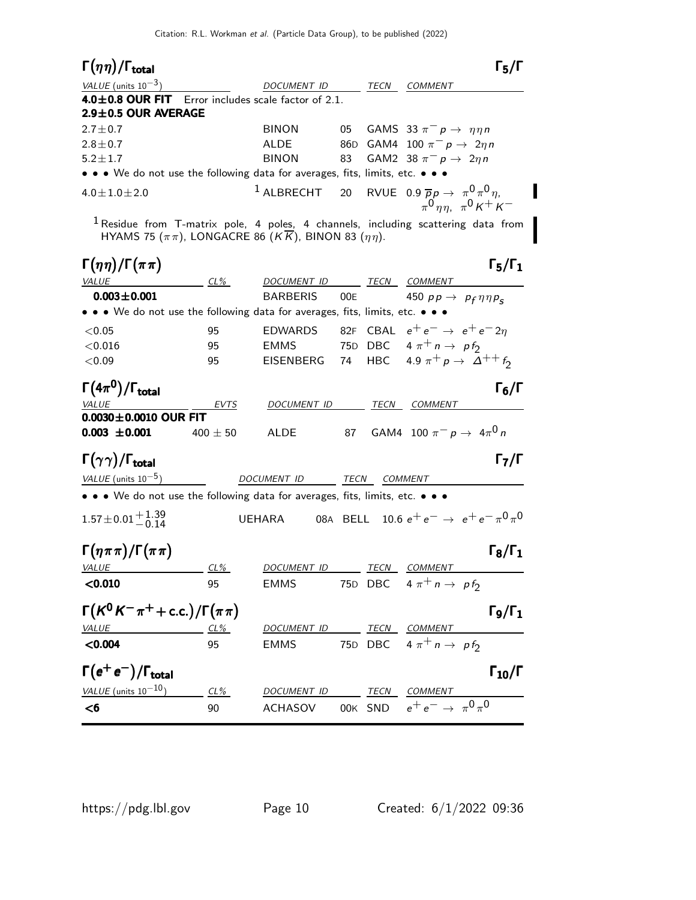| $\Gamma(\eta\eta)/\Gamma_{\rm total}$                                                                                                                                            |              |                                                                                  |     |              |                                                                                 | $\Gamma_5/\Gamma$    |
|----------------------------------------------------------------------------------------------------------------------------------------------------------------------------------|--------------|----------------------------------------------------------------------------------|-----|--------------|---------------------------------------------------------------------------------|----------------------|
| VALUE (units $10^{-3}$ )                                                                                                                                                         |              | DOCUMENT ID                                                                      |     | TECN         | <i>COMMENT</i>                                                                  |                      |
| <b>4.0<math>\pm</math>0.8 OUR FIT</b> Error includes scale factor of 2.1.                                                                                                        |              |                                                                                  |     |              |                                                                                 |                      |
| 2.9±0.5 OUR AVERAGE                                                                                                                                                              |              |                                                                                  |     |              |                                                                                 |                      |
| $2.7 \pm 0.7$<br>$2.8 \pm 0.7$                                                                                                                                                   |              | <b>BINON</b><br><b>ALDE</b>                                                      | 05  |              | GAMS 33 $\pi^- p \rightarrow \eta \eta n$<br>86D GAM4 100 $\pi^- p \to 2\eta n$ |                      |
| $5.2 \pm 1.7$                                                                                                                                                                    |              | <b>BINON</b>                                                                     | 83  |              | GAM2 38 $\pi^ p \rightarrow 2\eta n$                                            |                      |
| • • • We do not use the following data for averages, fits, limits, etc. • • •                                                                                                    |              |                                                                                  |     |              |                                                                                 |                      |
| $4.0 \pm 1.0 \pm 2.0$                                                                                                                                                            |              | <sup>1</sup> ALBRECHT 20 RVUE 0.9 $\overline{p}p \rightarrow \pi^0 \pi^0 \eta$ , |     |              | $\pi^0$ $\eta \eta$ , $\pi^0$ $K^+$ $K^-$                                       |                      |
| <sup>1</sup> Residue from T-matrix pole, 4 poles, 4 channels, including scattering data from<br>HYAMS 75 ( $\pi\pi$ ), LONGACRE 86 ( $K\overline{K}$ ), BINON 83 ( $\eta\eta$ ). |              |                                                                                  |     |              |                                                                                 |                      |
| $\Gamma(\eta\eta)/\Gamma(\pi\pi)$                                                                                                                                                |              |                                                                                  |     |              |                                                                                 | $\Gamma_5/\Gamma_1$  |
| VALUE                                                                                                                                                                            | $CL\%$       | DOCUMENT ID                                                                      |     |              | TECN COMMENT                                                                    |                      |
| $0.003 \pm 0.001$<br>• • • We do not use the following data for averages, fits, limits, etc. • • •                                                                               |              | <b>BARBERIS</b>                                                                  | 00E |              | 450 $pp \rightarrow pp_{f} \eta \eta p_{s}$                                     |                      |
|                                                                                                                                                                                  |              |                                                                                  |     |              | CBAL $e^+e^- \rightarrow e^+e^-2n$                                              |                      |
| < 0.05                                                                                                                                                                           | 95           | <b>EDWARDS</b>                                                                   | 82F |              |                                                                                 |                      |
| < 0.016                                                                                                                                                                          | 95           | <b>EMMS</b><br>EISENBERG 74                                                      |     |              | 75D DBC $4 \pi^+ n \rightarrow p f_2$<br>HBC 4.9 $\pi^+ p \to \Delta^{++} f_2$  |                      |
| < 0.09                                                                                                                                                                           | 95           |                                                                                  |     |              |                                                                                 |                      |
| $\Gamma(4\pi^0)/\Gamma_{\rm total}$                                                                                                                                              |              |                                                                                  |     |              |                                                                                 | $\Gamma_6/\Gamma$    |
| <b>VALUE</b><br>$0.0030 \pm 0.0010$ OUR FIT                                                                                                                                      | EVTS         | DOCUMENT ID                                                                      |     | TECN         | COMMENT                                                                         |                      |
| $0.003 \pm 0.001$                                                                                                                                                                | 400 $\pm$ 50 | ALDE                                                                             | 87  |              | GAM4 100 $\pi^- p \to 4\pi^0 n$                                                 |                      |
| $\Gamma(\gamma\gamma)/\Gamma_{\rm total}$                                                                                                                                        |              |                                                                                  |     |              |                                                                                 | $\Gamma_7/\Gamma$    |
| VALUE (units $10^{-5}$ )                                                                                                                                                         |              | DOCUMENT ID                                                                      |     | TECN COMMENT |                                                                                 |                      |
| • • • We do not use the following data for averages, fits, limits, etc. • • •<br>$1.57 \pm 0.01 \frac{+1.39}{-0.14}$                                                             |              | UEHARA                                                                           |     |              | 08A BELL 10.6 $e^+e^- \rightarrow e^+e^- \pi^0 \pi^0$                           |                      |
|                                                                                                                                                                                  |              |                                                                                  |     |              |                                                                                 |                      |
| $\Gamma(\eta \pi \pi)/\Gamma(\pi \pi)$                                                                                                                                           |              |                                                                                  |     |              |                                                                                 | $\Gamma_8/\Gamma_1$  |
| <b>VALUE</b>                                                                                                                                                                     | CL%          | <u>DOCUMENT ID</u>                                                               |     |              | TECN COMMENT                                                                    |                      |
| < 0.010                                                                                                                                                                          | 95           | <b>EMMS</b>                                                                      |     |              | 75D DBC $4 \pi^+ n \rightarrow p f_2$                                           |                      |
| $\Gamma(K^0K^-\pi^+$ + c.c.)/ $\Gamma(\pi\pi)$                                                                                                                                   |              |                                                                                  |     |              |                                                                                 | $\Gamma_9/\Gamma_1$  |
| VALUE                                                                                                                                                                            | CL%          | DOCUMENT ID                                                                      |     |              | TECN COMMENT                                                                    |                      |
| < 0.004                                                                                                                                                                          | 95           | <b>EMMS</b>                                                                      |     |              | 75D DBC $4 \pi^+ n \rightarrow p f_2$                                           |                      |
| $\Gamma(e^+e^-)/\Gamma_{\text{total}}$                                                                                                                                           |              |                                                                                  |     |              |                                                                                 | $\Gamma_{10}/\Gamma$ |
| VALUE (units $10^{-10}$ )                                                                                                                                                        | $CL\%$       | DOCUMENT ID                                                                      |     | TECN         | <b>COMMENT</b>                                                                  |                      |
| $<$ 6                                                                                                                                                                            | 90           | <b>ACHASOV</b>                                                                   |     |              | 00K SND $e^+e^- \to \pi^0 \pi^0$                                                |                      |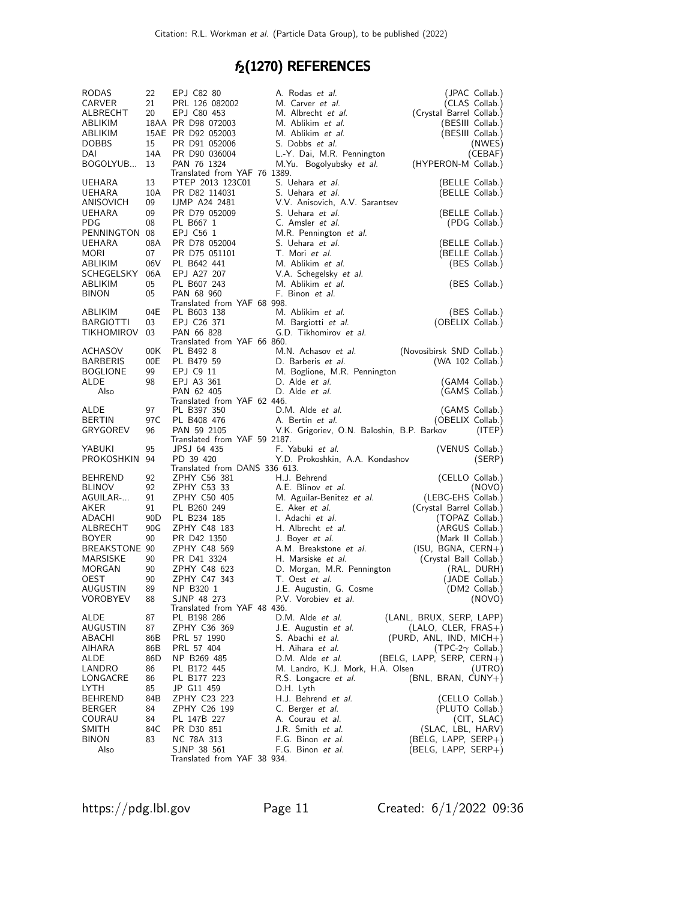# $f_2(1270)$  REFERENCES

| <b>RODAS</b>                | 22                    | EPJ C82 80                                  |  | A. Rodas et al.                                  | (JPAC Collab.)                              |
|-----------------------------|-----------------------|---------------------------------------------|--|--------------------------------------------------|---------------------------------------------|
| CARVER                      | 21                    | PRL 126 082002                              |  | M. Carver et al.                                 | (CLAS Collab.)                              |
| ALBRECHT                    | 20                    | EPJ C80 453                                 |  | M. Albrecht et al.                               | (Crystal Barrel Collab.)                    |
| ABLIKIM                     |                       | 18AA PR D98 072003                          |  | M. Ablikim et al.                                | (BESIII Collab.)                            |
| ABLIKIM<br><b>DOBBS</b>     | 15                    | 15AE PR D92 052003<br>PR D91 052006         |  | M. Ablikim et al.<br>S. Dobbs et al.             | (BESIII Collab.)                            |
| DAI                         | 14A                   | PR D90 036004                               |  | L.-Y. Dai, M.R. Pennington                       | (NWES)<br>(CEBAF)                           |
| BOGOLYUB                    | 13                    | PAN 76 1324                                 |  | M.Yu. Bogolyubsky et al.                         | (HYPERON-M Collab.)                         |
|                             |                       | Translated from YAF 76 1389.                |  |                                                  |                                             |
| UEHARA                      | 13                    | PTEP 2013 123C01                            |  | S. Uehara et al.                                 | (BELLE Collab.)                             |
| UEHARA                      | 10A                   | PR D82 114031                               |  | S. Uehara et al.                                 | (BELLE Collab.)                             |
| ANISOVICH                   | 09                    | <b>IJMP A24 2481</b>                        |  | V.V. Anisovich, A.V. Sarantsev                   |                                             |
| UEHARA<br>PDG               | 09<br>08              | PR D79 052009                               |  | S. Uehara <i>et al.</i><br>C. Amsler et al.      | (BELLE Collab.)                             |
| PENNINGTON                  | 08                    | PL B667 1<br>EPJ C56 1                      |  | M.R. Pennington et al.                           | (PDG Collab.)                               |
| UEHARA                      | 08A                   | PR D78 052004                               |  | S. Uehara <i>et al.</i>                          | (BELLE Collab.)                             |
| MORI                        | 07                    | PR D75 051101                               |  | T. Mori et al.                                   | (BELLE Collab.)                             |
| ABLIKIM                     | 06V                   | PL B642 441                                 |  | M. Ablikim et al.                                | (BES Collab.)                               |
| SCHEGELSKY                  | 06A                   | EPJ A27 207                                 |  | V.A. Schegelsky et al.                           |                                             |
| ABLIKIM                     | 05                    | PL B607 243                                 |  | M. Ablikim et al.                                | (BES Collab.)                               |
| <b>BINON</b>                | 05                    | PAN 68 960                                  |  | F. Binon et al.                                  |                                             |
|                             |                       | Translated from YAF 68 998.                 |  |                                                  |                                             |
| ABLIKIM<br><b>BARGIOTTI</b> | 04E<br>03             | PL B603 138<br>EPJ C26 371                  |  | M. Ablikim et al.                                | (BES Collab.)<br>(OBELIX Collab.)           |
| TIKHOMIROV                  | 03                    | PAN 66 828                                  |  | M. Bargiotti et al.<br>G.D. Tikhomirov et al.    |                                             |
|                             |                       | Translated from YAF 66 860.                 |  |                                                  |                                             |
| ACHASOV                     | 00K                   | PL B492 8                                   |  | M.N. Achasov et al.                              | (Novosibirsk SND Collab.)                   |
| BARBERIS                    | 00E                   | PL B479 59                                  |  | D. Barberis et al.                               | (WA 102 Collab.)                            |
| <b>BOGLIONE</b>             | 99                    | EPJ C9 11                                   |  | M. Boglione, M.R. Pennington                     |                                             |
| ALDE                        | 98                    | EPJ A3 361                                  |  | D. Alde <i>et al.</i>                            | (GAM4 Collab.)                              |
| Also                        |                       | PAN 62 405                                  |  | D. Alde <i>et al.</i>                            | (GAMS Collab.)                              |
| ALDE                        | 97                    | Translated from YAF 62 446.<br>PL B397 350  |  | D.M. Alde et al.                                 | (GAMS Collab.)                              |
| <b>BERTIN</b>               | 97C                   | PL B408 476                                 |  | A. Bertin et al.                                 | (OBELIX Collab.)                            |
|                             |                       |                                             |  |                                                  |                                             |
|                             |                       |                                             |  |                                                  |                                             |
| GRYGOREV                    | 96                    | PAN 59 2105<br>Translated from YAF 59 2187. |  | V.K. Grigoriev, O.N. Baloshin, B.P. Barkov       | (ITEP)                                      |
| YABUKI                      | 95                    | JPSJ 64 435                                 |  | F. Yabuki et al.                                 | (VENUS Collab.)                             |
| PROKOSHKIN                  | 94                    | PD 39 420                                   |  | Y.D. Prokoshkin, A.A. Kondashov                  | (SERP)                                      |
|                             |                       | Translated from DANS 336 613.               |  |                                                  |                                             |
| BEHREND                     | 92                    | ZPHY C56 381                                |  | H.J. Behrend                                     | (CELLO Collab.)                             |
| <b>BLINOV</b>               | 92                    | ZPHY C53 33                                 |  | A.E. Blinov et al.                               | (NOVO)                                      |
| AGUILAR-                    | 91                    | ZPHY C50 405                                |  | M. Aguilar-Benitez et al.                        | (LEBC-EHS Collab.)                          |
| AKER<br>ADACHI              | 91<br>90 <sub>D</sub> | PL B260 249<br>PL B234 185                  |  | E. Aker <i>et al.</i><br>I. Adachi <i>et al.</i> | (Crystal Barrel Collab.)<br>(TOPAZ Collab.) |
| ALBRECHT                    | 90G                   | ZPHY C48 183                                |  | H. Albrecht et al.                               | (ARGUS Collab.)                             |
| <b>BOYER</b>                | 90                    | PR D42 1350                                 |  | J. Boyer <i>et al.</i>                           | (Mark II Collab.)                           |
| BREAKSTONE 90               |                       | ZPHY C48 569                                |  | A.M. Breakstone et al.                           | (ISU, BGNA, CERN+)                          |
| MARSISKE                    | 90                    | PR D41 3324                                 |  | H. Marsiske et al.                               | (Crystal Ball Collab.)                      |
| MORGAN                      | 90                    | ZPHY C48 623                                |  | D. Morgan, M.R. Pennington                       | (RAL, DURH)                                 |
| OEST                        | 90                    | ZPHY C47 343                                |  | T. Oest et al.                                   | (JADE Collab.)                              |
| <b>AUGUSTIN</b>             | 89                    | NP B320 1                                   |  | J.E. Augustin, G. Cosme                          | (DM2 Collab.)                               |
| VOROBYEV                    | 88                    | SJNP 48 273                                 |  | P.V. Vorobiev <i>et al.</i>                      | (NOVO)                                      |
| ALDE                        | 87                    | Translated from YAF 48 436.<br>PL B198 286  |  | D.M. Alde et al.                                 | (LANL, BRUX, SERP, LAPP)                    |
| AUGUSTIN                    | 87                    | ZPHY C36 369                                |  | J.E. Augustin et al.                             | $(LALO, CLER, FRAS+)$                       |
| ABACHI                      | 86B                   | PRL 57 1990                                 |  | S. Abachi <i>et al.</i>                          | $(PURD, ANL, IND, MICH+)$                   |
| AIHARA                      | 86B                   | PRL 57 404                                  |  | H. Aihara et al.                                 | (TPC-2 $\gamma$ Collab.)                    |
| ALDE                        | 86D                   | NP B269 485                                 |  | D.M. Alde <i>et al.</i>                          | (BELG, LAPP, SERP, CERN+)                   |
| LANDRO                      | 86                    | PL B172 445                                 |  | M. Landro, K.J. Mork, H.A. Olsen                 | (UTRO)                                      |
| LONGACRE                    | 86                    | PL B177 223                                 |  | R.S. Longacre <i>et al.</i>                      | $(BNL, BRAN, CUNY+)$                        |
| LYTH                        | 85                    | JP G11 459                                  |  | D.H. Lyth                                        |                                             |
| BEHREND                     | 84B                   | ZPHY C23 223                                |  | H.J. Behrend <i>et al.</i>                       | (CELLO Collab.)                             |
| <b>BERGER</b><br>COURAU     | 84<br>84              | ZPHY C26 199<br>PL 147B 227                 |  | C. Berger <i>et al.</i><br>A. Courau et al.      | (PLUTO Collab.)                             |
| SMITH                       | 84C                   | PR D30 851                                  |  | J.R. Smith <i>et al.</i>                         | (CIT, SLAC)<br>(SLAC, LBL, HARV)            |
| <b>BINON</b>                | 83                    | NC 78A 313                                  |  | F.G. Binon et al.                                | $(BELG, LAP, SERP+)$                        |
| Also                        |                       | SJNP 38 561<br>Translated from YAF 38 934.  |  | F.G. Binon et al.                                | (BELG, LAPP, SERP+)                         |